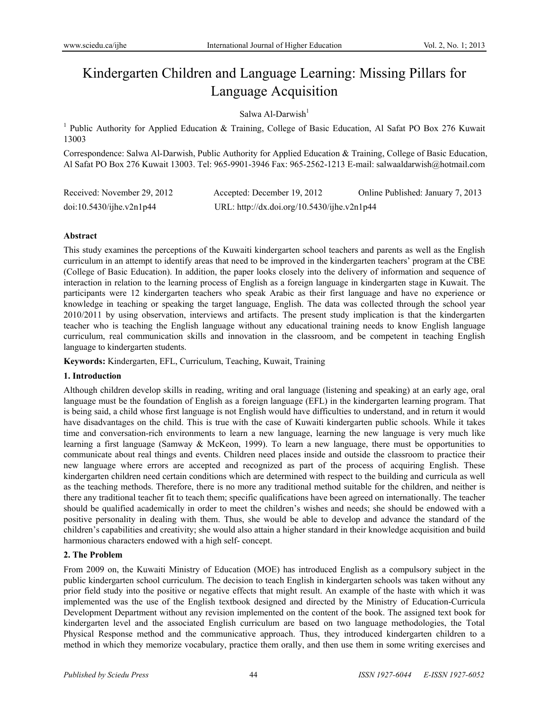# Kindergarten Children and Language Learning: Missing Pillars for Language Acquisition

Salwa Al-Darwish $1$ 

<sup>1</sup> Public Authority for Applied Education & Training, College of Basic Education, Al Safat PO Box 276 Kuwait 13003

Correspondence: Salwa Al-Darwish, Public Authority for Applied Education & Training, College of Basic Education, Al Safat PO Box 276 Kuwait 13003. Tel: 965-9901-3946 Fax: 965-2562-1213 E-mail: salwaaldarwish@hotmail.com

| Received: November 29, 2012 | Accepted: December 19, 2012                 | Online Published: January 7, 2013 |
|-----------------------------|---------------------------------------------|-----------------------------------|
| doi:10.5430/ijhe.v2n1p44    | URL: http://dx.doi.org/10.5430/ijhe.v2n1p44 |                                   |

## **Abstract**

This study examines the perceptions of the Kuwaiti kindergarten school teachers and parents as well as the English curriculum in an attempt to identify areas that need to be improved in the kindergarten teachers' program at the CBE (College of Basic Education). In addition, the paper looks closely into the delivery of information and sequence of interaction in relation to the learning process of English as a foreign language in kindergarten stage in Kuwait. The participants were 12 kindergarten teachers who speak Arabic as their first language and have no experience or knowledge in teaching or speaking the target language, English. The data was collected through the school year 2010/2011 by using observation, interviews and artifacts. The present study implication is that the kindergarten teacher who is teaching the English language without any educational training needs to know English language curriculum, real communication skills and innovation in the classroom, and be competent in teaching English language to kindergarten students.

**Keywords:** Kindergarten, EFL, Curriculum, Teaching, Kuwait, Training

## **1. Introduction**

Although children develop skills in reading, writing and oral language (listening and speaking) at an early age, oral language must be the foundation of English as a foreign language (EFL) in the kindergarten learning program. That is being said, a child whose first language is not English would have difficulties to understand, and in return it would have disadvantages on the child. This is true with the case of Kuwaiti kindergarten public schools. While it takes time and conversation-rich environments to learn a new language, learning the new language is very much like learning a first language (Samway & McKeon, 1999). To learn a new language, there must be opportunities to communicate about real things and events. Children need places inside and outside the classroom to practice their new language where errors are accepted and recognized as part of the process of acquiring English. These kindergarten children need certain conditions which are determined with respect to the building and curricula as well as the teaching methods. Therefore, there is no more any traditional method suitable for the children, and neither is there any traditional teacher fit to teach them; specific qualifications have been agreed on internationally. The teacher should be qualified academically in order to meet the children's wishes and needs; she should be endowed with a positive personality in dealing with them. Thus, she would be able to develop and advance the standard of the children's capabilities and creativity; she would also attain a higher standard in their knowledge acquisition and build harmonious characters endowed with a high self- concept.

## **2. The Problem**

From 2009 on, the Kuwaiti Ministry of Education (MOE) has introduced English as a compulsory subject in the public kindergarten school curriculum. The decision to teach English in kindergarten schools was taken without any prior field study into the positive or negative effects that might result. An example of the haste with which it was implemented was the use of the English textbook designed and directed by the Ministry of Education-Curricula Development Department without any revision implemented on the content of the book. The assigned text book for kindergarten level and the associated English curriculum are based on two language methodologies, the Total Physical Response method and the communicative approach. Thus, they introduced kindergarten children to a method in which they memorize vocabulary, practice them orally, and then use them in some writing exercises and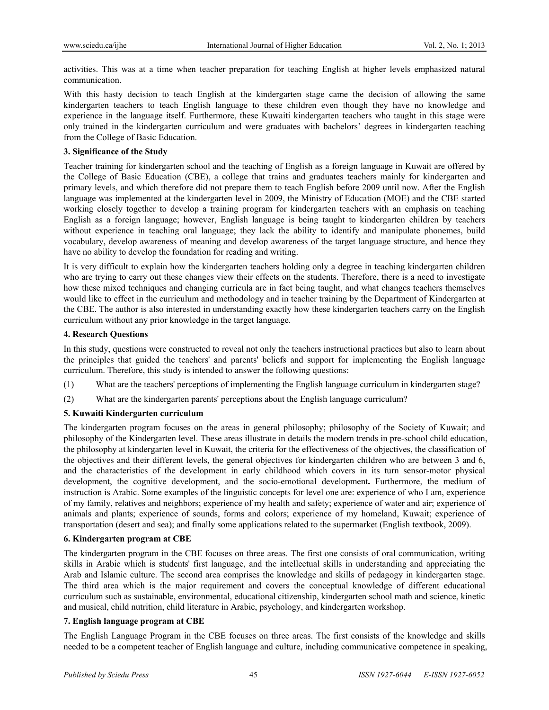activities. This was at a time when teacher preparation for teaching English at higher levels emphasized natural communication.

With this hasty decision to teach English at the kindergarten stage came the decision of allowing the same kindergarten teachers to teach English language to these children even though they have no knowledge and experience in the language itself. Furthermore, these Kuwaiti kindergarten teachers who taught in this stage were only trained in the kindergarten curriculum and were graduates with bachelors' degrees in kindergarten teaching from the College of Basic Education.

## **3. Significance of the Study**

Teacher training for kindergarten school and the teaching of English as a foreign language in Kuwait are offered by the College of Basic Education (CBE), a college that trains and graduates teachers mainly for kindergarten and primary levels, and which therefore did not prepare them to teach English before 2009 until now. After the English language was implemented at the kindergarten level in 2009, the Ministry of Education (MOE) and the CBE started working closely together to develop a training program for kindergarten teachers with an emphasis on teaching English as a foreign language; however, English language is being taught to kindergarten children by teachers without experience in teaching oral language; they lack the ability to identify and manipulate phonemes, build vocabulary, develop awareness of meaning and develop awareness of the target language structure, and hence they have no ability to develop the foundation for reading and writing.

It is very difficult to explain how the kindergarten teachers holding only a degree in teaching kindergarten children who are trying to carry out these changes view their effects on the students. Therefore, there is a need to investigate how these mixed techniques and changing curricula are in fact being taught, and what changes teachers themselves would like to effect in the curriculum and methodology and in teacher training by the Department of Kindergarten at the CBE. The author is also interested in understanding exactly how these kindergarten teachers carry on the English curriculum without any prior knowledge in the target language.

## **4. Research Questions**

In this study, questions were constructed to reveal not only the teachers instructional practices but also to learn about the principles that guided the teachers' and parents' beliefs and support for implementing the English language curriculum. Therefore, this study is intended to answer the following questions:

- (1) What are the teachers' perceptions of implementing the English language curriculum in kindergarten stage?
- (2) What are the kindergarten parents' perceptions about the English language curriculum?

## **5. Kuwaiti Kindergarten curriculum**

The kindergarten program focuses on the areas in general philosophy; philosophy of the Society of Kuwait; and philosophy of the Kindergarten level. These areas illustrate in details the modern trends in pre-school child education, the philosophy at kindergarten level in Kuwait, the criteria for the effectiveness of the objectives, the classification of the objectives and their different levels, the general objectives for kindergarten children who are between 3 and 6, and the characteristics of the development in early childhood which covers in its turn sensor-motor physical development, the cognitive development, and the socio-emotional development**.** Furthermore, the medium of instruction is Arabic. Some examples of the linguistic concepts for level one are: experience of who I am, experience of my family, relatives and neighbors; experience of my health and safety; experience of water and air; experience of animals and plants; experience of sounds, forms and colors; experience of my homeland, Kuwait; experience of transportation (desert and sea); and finally some applications related to the supermarket (English textbook, 2009).

## **6. Kindergarten program at CBE**

The kindergarten program in the CBE focuses on three areas. The first one consists of oral communication, writing skills in Arabic which is students' first language, and the intellectual skills in understanding and appreciating the Arab and Islamic culture. The second area comprises the knowledge and skills of pedagogy in kindergarten stage. The third area which is the major requirement and covers the conceptual knowledge of different educational curriculum such as sustainable, environmental, educational citizenship, kindergarten school math and science, kinetic and musical, child nutrition, child literature in Arabic, psychology, and kindergarten workshop.

## **7. English language program at CBE**

The English Language Program in the CBE focuses on three areas. The first consists of the knowledge and skills needed to be a competent teacher of English language and culture, including communicative competence in speaking,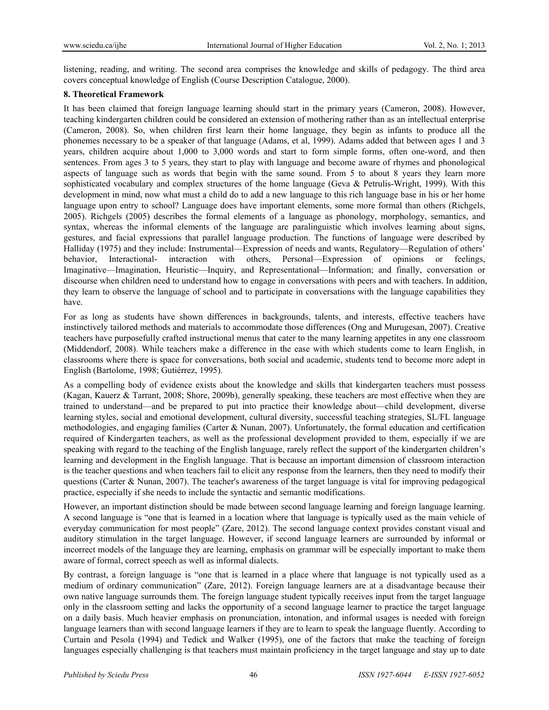listening, reading, and writing. The second area comprises the knowledge and skills of pedagogy. The third area covers conceptual knowledge of English (Course Description Catalogue, 2000).

#### **8. Theoretical Framework**

It has been claimed that foreign language learning should start in the primary years (Cameron, 2008). However, teaching kindergarten children could be considered an extension of mothering rather than as an intellectual enterprise (Cameron, 2008). So, when children first learn their home language, they begin as infants to produce all the phonemes necessary to be a speaker of that language (Adams, et al, 1999). Adams added that between ages 1 and 3 years, children acquire about 1,000 to 3,000 words and start to form simple forms, often one-word, and then sentences. From ages 3 to 5 years, they start to play with language and become aware of rhymes and phonological aspects of language such as words that begin with the same sound. From 5 to about 8 years they learn more sophisticated vocabulary and complex structures of the home language (Geva & Petrulis-Wright, 1999). With this development in mind, now what must a child do to add a new language to this rich language base in his or her home language upon entry to school? Language does have important elements, some more formal than others (Richgels, 2005). Richgels (2005) describes the formal elements of a language as phonology, morphology, semantics, and syntax, whereas the informal elements of the language are paralinguistic which involves learning about signs, gestures, and facial expressions that parallel language production. The functions of language were described by Halliday (1975) and they include: Instrumental—Expression of needs and wants, Regulatory—Regulation of others' behavior, Interactional- interaction with others, Personal—Expression of opinions or feelings, Imaginative—Imagination, Heuristic—Inquiry, and Representational—Information; and finally, conversation or discourse when children need to understand how to engage in conversations with peers and with teachers. In addition, they learn to observe the language of school and to participate in conversations with the language capabilities they have.

For as long as students have shown differences in backgrounds, talents, and interests, effective teachers have instinctively tailored methods and materials to accommodate those differences (Ong and Murugesan, 2007). Creative teachers have purposefully crafted instructional menus that cater to the many learning appetites in any one classroom (Middendorf, 2008). While teachers make a difference in the ease with which students come to learn English, in classrooms where there is space for conversations, both social and academic, students tend to become more adept in English (Bartolome, 1998; Gutiérrez, 1995).

As a compelling body of evidence exists about the knowledge and skills that kindergarten teachers must possess (Kagan, Kauerz & Tarrant, 2008; Shore, 2009b), generally speaking, these teachers are most effective when they are trained to understand—and be prepared to put into practice their knowledge about—child development, diverse learning styles, social and emotional development, cultural diversity, successful teaching strategies, SL/FL language methodologies, and engaging families (Carter & Nunan, 2007). Unfortunately, the formal education and certification required of Kindergarten teachers, as well as the professional development provided to them, especially if we are speaking with regard to the teaching of the English language, rarely reflect the support of the kindergarten children's learning and development in the English language. That is because an important dimension of classroom interaction is the teacher questions and when teachers fail to elicit any response from the learners, then they need to modify their questions (Carter & Nunan, 2007). The teacher's awareness of the target language is vital for improving pedagogical practice, especially if she needs to include the syntactic and semantic modifications.

However, an important distinction should be made between second language learning and foreign language learning. A second language is "one that is learned in a location where that language is typically used as the main vehicle of everyday communication for most people" (Zare, 2012). The second language context provides constant visual and auditory stimulation in the target language. However, if second language learners are surrounded by informal or incorrect models of the language they are learning, emphasis on grammar will be especially important to make them aware of formal, correct speech as well as informal dialects.

By contrast, a foreign language is "one that is learned in a place where that language is not typically used as a medium of ordinary communication" (Zare, 2012). Foreign language learners are at a disadvantage because their own native language surrounds them. The foreign language student typically receives input from the target language only in the classroom setting and lacks the opportunity of a second language learner to practice the target language on a daily basis. Much heavier emphasis on pronunciation, intonation, and informal usages is needed with foreign language learners than with second language learners if they are to learn to speak the language fluently. According to Curtain and Pesola (1994) and Tedick and Walker (1995), one of the factors that make the teaching of foreign languages especially challenging is that teachers must maintain proficiency in the target language and stay up to date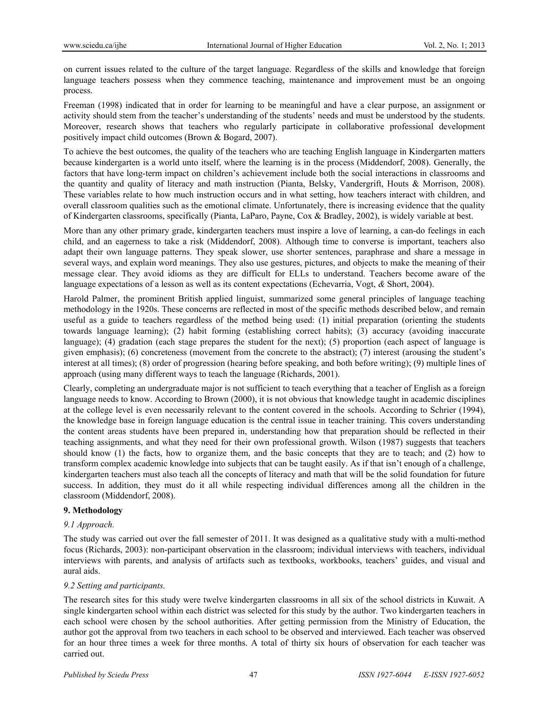on current issues related to the culture of the target language. Regardless of the skills and knowledge that foreign language teachers possess when they commence teaching, maintenance and improvement must be an ongoing process.

Freeman (1998) indicated that in order for learning to be meaningful and have a clear purpose, an assignment or activity should stem from the teacher's understanding of the students' needs and must be understood by the students. Moreover, research shows that teachers who regularly participate in collaborative professional development positively impact child outcomes (Brown & Bogard, 2007).

To achieve the best outcomes, the quality of the teachers who are teaching English language in Kindergarten matters because kindergarten is a world unto itself, where the learning is in the process (Middendorf, 2008). Generally, the factors that have long-term impact on children's achievement include both the social interactions in classrooms and the quantity and quality of literacy and math instruction (Pianta, Belsky, Vandergrift, Houts & Morrison, 2008). These variables relate to how much instruction occurs and in what setting, how teachers interact with children, and overall classroom qualities such as the emotional climate. Unfortunately, there is increasing evidence that the quality of Kindergarten classrooms, specifically (Pianta, LaParo, Payne, Cox & Bradley, 2002), is widely variable at best.

More than any other primary grade, kindergarten teachers must inspire a love of learning, a can-do feelings in each child, and an eagerness to take a risk (Middendorf, 2008). Although time to converse is important, teachers also adapt their own language patterns. They speak slower, use shorter sentences, paraphrase and share a message in several ways, and explain word meanings. They also use gestures, pictures, and objects to make the meaning of their message clear. They avoid idioms as they are difficult for ELLs to understand. Teachers become aware of the language expectations of a lesson as well as its content expectations (Echevarria, Vogt, *&* Short, 2004).

Harold Palmer, the prominent British applied linguist, summarized some general principles of language teaching methodology in the 1920s. These concerns are reflected in most of the specific methods described below, and remain useful as a guide to teachers regardless of the method being used: (1) initial preparation (orienting the students towards language learning); (2) habit forming (establishing correct habits); (3) accuracy (avoiding inaccurate language); (4) gradation (each stage prepares the student for the next); (5) proportion (each aspect of language is given emphasis); (6) concreteness (movement from the concrete to the abstract); (7) interest (arousing the student's interest at all times); (8) order of progression (hearing before speaking, and both before writing); (9) multiple lines of approach (using many different ways to teach the language (Richards, 2001).

Clearly, completing an undergraduate major is not sufficient to teach everything that a teacher of English as a foreign language needs to know. According to Brown (2000), it is not obvious that knowledge taught in academic disciplines at the college level is even necessarily relevant to the content covered in the schools. According to Schrier (1994), the knowledge base in foreign language education is the central issue in teacher training. This covers understanding the content areas students have been prepared in, understanding how that preparation should be reflected in their teaching assignments, and what they need for their own professional growth. Wilson (1987) suggests that teachers should know (1) the facts, how to organize them, and the basic concepts that they are to teach; and (2) how to transform complex academic knowledge into subjects that can be taught easily. As if that isn't enough of a challenge, kindergarten teachers must also teach all the concepts of literacy and math that will be the solid foundation for future success. In addition, they must do it all while respecting individual differences among all the children in the classroom (Middendorf, 2008).

## **9. Methodology**

## *9.1 Approach.*

The study was carried out over the fall semester of 2011. It was designed as a qualitative study with a multi-method focus (Richards, 2003): non-participant observation in the classroom; individual interviews with teachers, individual interviews with parents, and analysis of artifacts such as textbooks, workbooks, teachers' guides, and visual and aural aids.

## *9.2 Setting and participants.*

The research sites for this study were twelve kindergarten classrooms in all six of the school districts in Kuwait. A single kindergarten school within each district was selected for this study by the author. Two kindergarten teachers in each school were chosen by the school authorities. After getting permission from the Ministry of Education, the author got the approval from two teachers in each school to be observed and interviewed. Each teacher was observed for an hour three times a week for three months. A total of thirty six hours of observation for each teacher was carried out.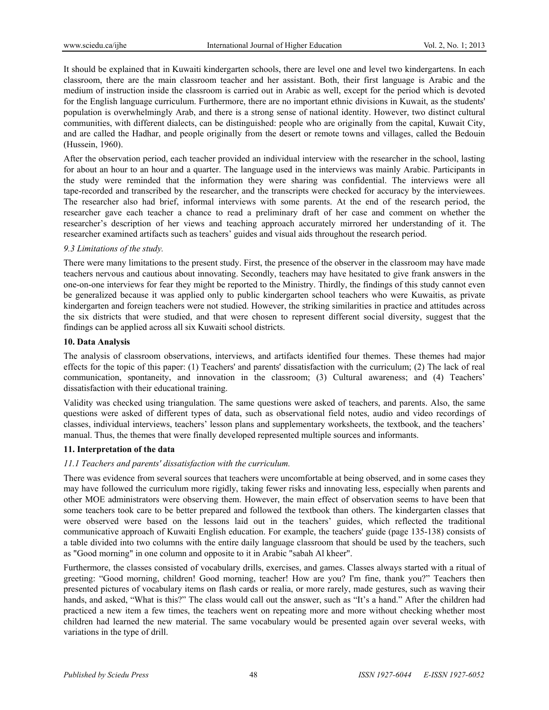It should be explained that in Kuwaiti kindergarten schools, there are level one and level two kindergartens. In each classroom, there are the main classroom teacher and her assistant. Both, their first language is Arabic and the medium of instruction inside the classroom is carried out in Arabic as well, except for the period which is devoted for the English language curriculum. Furthermore, there are no important ethnic divisions in Kuwait, as the students' population is overwhelmingly Arab, and there is a strong sense of national identity. However, two distinct cultural communities, with different dialects, can be distinguished: people who are originally from the capital, Kuwait City, and are called the Hadhar, and people originally from the desert or remote towns and villages, called the Bedouin (Hussein, 1960).

After the observation period, each teacher provided an individual interview with the researcher in the school, lasting for about an hour to an hour and a quarter. The language used in the interviews was mainly Arabic. Participants in the study were reminded that the information they were sharing was confidential. The interviews were all tape-recorded and transcribed by the researcher, and the transcripts were checked for accuracy by the interviewees. The researcher also had brief, informal interviews with some parents. At the end of the research period, the researcher gave each teacher a chance to read a preliminary draft of her case and comment on whether the researcher's description of her views and teaching approach accurately mirrored her understanding of it. The researcher examined artifacts such as teachers' guides and visual aids throughout the research period.

## *9.3 Limitations of the study.*

There were many limitations to the present study. First, the presence of the observer in the classroom may have made teachers nervous and cautious about innovating. Secondly, teachers may have hesitated to give frank answers in the one-on-one interviews for fear they might be reported to the Ministry. Thirdly, the findings of this study cannot even be generalized because it was applied only to public kindergarten school teachers who were Kuwaitis, as private kindergarten and foreign teachers were not studied. However, the striking similarities in practice and attitudes across the six districts that were studied, and that were chosen to represent different social diversity, suggest that the findings can be applied across all six Kuwaiti school districts.

#### **10. Data Analysis**

The analysis of classroom observations, interviews, and artifacts identified four themes. These themes had major effects for the topic of this paper: (1) Teachers' and parents' dissatisfaction with the curriculum; (2) The lack of real communication, spontaneity, and innovation in the classroom; (3) Cultural awareness; and (4) Teachers' dissatisfaction with their educational training.

Validity was checked using triangulation. The same questions were asked of teachers, and parents. Also, the same questions were asked of different types of data, such as observational field notes, audio and video recordings of classes, individual interviews, teachers' lesson plans and supplementary worksheets, the textbook, and the teachers' manual. Thus, the themes that were finally developed represented multiple sources and informants.

## **11. Interpretation of the data**

## *11.1 Teachers and parents' dissatisfaction with the curriculum.*

There was evidence from several sources that teachers were uncomfortable at being observed, and in some cases they may have followed the curriculum more rigidly, taking fewer risks and innovating less, especially when parents and other MOE administrators were observing them. However, the main effect of observation seems to have been that some teachers took care to be better prepared and followed the textbook than others. The kindergarten classes that were observed were based on the lessons laid out in the teachers' guides, which reflected the traditional communicative approach of Kuwaiti English education. For example, the teachers' guide (page 135-138) consists of a table divided into two columns with the entire daily language classroom that should be used by the teachers, such as "Good morning" in one column and opposite to it in Arabic "sabah Al kheer".

Furthermore, the classes consisted of vocabulary drills, exercises, and games. Classes always started with a ritual of greeting: "Good morning, children! Good morning, teacher! How are you? I'm fine, thank you?" Teachers then presented pictures of vocabulary items on flash cards or realia, or more rarely, made gestures, such as waving their hands, and asked, "What is this?" The class would call out the answer, such as "It's a hand." After the children had practiced a new item a few times, the teachers went on repeating more and more without checking whether most children had learned the new material. The same vocabulary would be presented again over several weeks, with variations in the type of drill.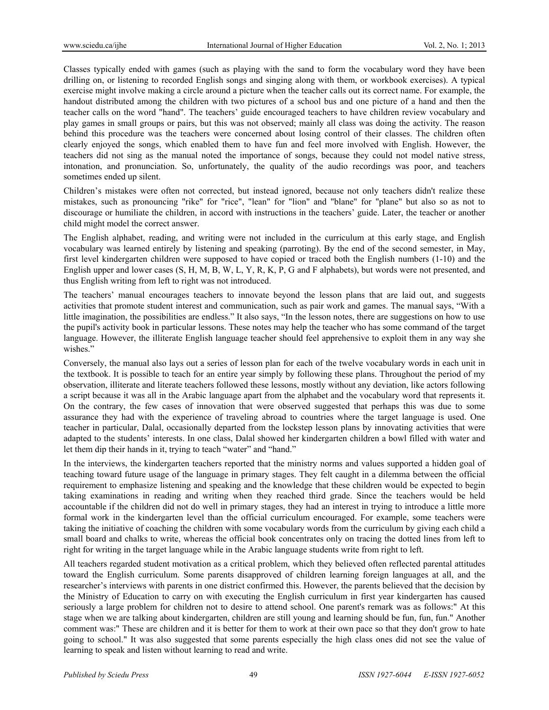Classes typically ended with games (such as playing with the sand to form the vocabulary word they have been drilling on, or listening to recorded English songs and singing along with them, or workbook exercises). A typical exercise might involve making a circle around a picture when the teacher calls out its correct name. For example, the handout distributed among the children with two pictures of a school bus and one picture of a hand and then the teacher calls on the word "hand". The teachers' guide encouraged teachers to have children review vocabulary and play games in small groups or pairs, but this was not observed; mainly all class was doing the activity. The reason behind this procedure was the teachers were concerned about losing control of their classes. The children often clearly enjoyed the songs, which enabled them to have fun and feel more involved with English. However, the teachers did not sing as the manual noted the importance of songs, because they could not model native stress, intonation, and pronunciation. So, unfortunately, the quality of the audio recordings was poor, and teachers sometimes ended up silent.

Children's mistakes were often not corrected, but instead ignored, because not only teachers didn't realize these mistakes, such as pronouncing "rike" for "rice", "lean" for "lion" and "blane" for "plane" but also so as not to discourage or humiliate the children, in accord with instructions in the teachers' guide. Later, the teacher or another child might model the correct answer.

The English alphabet, reading, and writing were not included in the curriculum at this early stage, and English vocabulary was learned entirely by listening and speaking (parroting). By the end of the second semester, in May, first level kindergarten children were supposed to have copied or traced both the English numbers (1-10) and the English upper and lower cases (S, H, M, B, W, L, Y, R, K, P, G and F alphabets), but words were not presented, and thus English writing from left to right was not introduced.

The teachers' manual encourages teachers to innovate beyond the lesson plans that are laid out, and suggests activities that promote student interest and communication, such as pair work and games. The manual says, "With a little imagination, the possibilities are endless." It also says, "In the lesson notes, there are suggestions on how to use the pupil's activity book in particular lessons. These notes may help the teacher who has some command of the target language. However, the illiterate English language teacher should feel apprehensive to exploit them in any way she wishes."

Conversely, the manual also lays out a series of lesson plan for each of the twelve vocabulary words in each unit in the textbook. It is possible to teach for an entire year simply by following these plans. Throughout the period of my observation, illiterate and literate teachers followed these lessons, mostly without any deviation, like actors following a script because it was all in the Arabic language apart from the alphabet and the vocabulary word that represents it. On the contrary, the few cases of innovation that were observed suggested that perhaps this was due to some assurance they had with the experience of traveling abroad to countries where the target language is used. One teacher in particular, Dalal, occasionally departed from the lockstep lesson plans by innovating activities that were adapted to the students' interests. In one class, Dalal showed her kindergarten children a bowl filled with water and let them dip their hands in it, trying to teach "water" and "hand."

In the interviews, the kindergarten teachers reported that the ministry norms and values supported a hidden goal of teaching toward future usage of the language in primary stages. They felt caught in a dilemma between the official requirement to emphasize listening and speaking and the knowledge that these children would be expected to begin taking examinations in reading and writing when they reached third grade. Since the teachers would be held accountable if the children did not do well in primary stages, they had an interest in trying to introduce a little more formal work in the kindergarten level than the official curriculum encouraged. For example, some teachers were taking the initiative of coaching the children with some vocabulary words from the curriculum by giving each child a small board and chalks to write, whereas the official book concentrates only on tracing the dotted lines from left to right for writing in the target language while in the Arabic language students write from right to left.

All teachers regarded student motivation as a critical problem, which they believed often reflected parental attitudes toward the English curriculum. Some parents disapproved of children learning foreign languages at all, and the researcher's interviews with parents in one district confirmed this. However, the parents believed that the decision by the Ministry of Education to carry on with executing the English curriculum in first year kindergarten has caused seriously a large problem for children not to desire to attend school. One parent's remark was as follows:" At this stage when we are talking about kindergarten, children are still young and learning should be fun, fun, fun." Another comment was:" These are children and it is better for them to work at their own pace so that they don't grow to hate going to school." It was also suggested that some parents especially the high class ones did not see the value of learning to speak and listen without learning to read and write.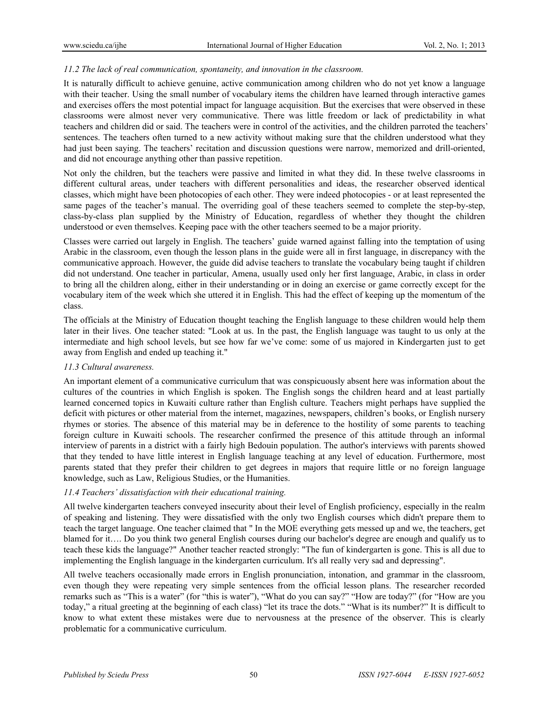## *11.2 The lack of real communication, spontaneity, and innovation in the classroom.*

It is naturally difficult to achieve genuine, active communication among children who do not yet know a language with their teacher. Using the small number of vocabulary items the children have learned through interactive games and exercises offers the most potential impact for language acquisition. But the exercises that were observed in these classrooms were almost never very communicative. There was little freedom or lack of predictability in what teachers and children did or said. The teachers were in control of the activities, and the children parroted the teachers' sentences. The teachers often turned to a new activity without making sure that the children understood what they had just been saying. The teachers' recitation and discussion questions were narrow, memorized and drill-oriented, and did not encourage anything other than passive repetition.

Not only the children, but the teachers were passive and limited in what they did. In these twelve classrooms in different cultural areas, under teachers with different personalities and ideas, the researcher observed identical classes, which might have been photocopies of each other. They were indeed photocopies - or at least represented the same pages of the teacher's manual. The overriding goal of these teachers seemed to complete the step-by-step, class-by-class plan supplied by the Ministry of Education, regardless of whether they thought the children understood or even themselves. Keeping pace with the other teachers seemed to be a major priority.

Classes were carried out largely in English. The teachers' guide warned against falling into the temptation of using Arabic in the classroom, even though the lesson plans in the guide were all in first language, in discrepancy with the communicative approach. However, the guide did advise teachers to translate the vocabulary being taught if children did not understand. One teacher in particular, Amena, usually used only her first language, Arabic, in class in order to bring all the children along, either in their understanding or in doing an exercise or game correctly except for the vocabulary item of the week which she uttered it in English. This had the effect of keeping up the momentum of the class.

The officials at the Ministry of Education thought teaching the English language to these children would help them later in their lives. One teacher stated: "Look at us. In the past, the English language was taught to us only at the intermediate and high school levels, but see how far we've come: some of us majored in Kindergarten just to get away from English and ended up teaching it."

## *11.3 Cultural awareness.*

An important element of a communicative curriculum that was conspicuously absent here was information about the cultures of the countries in which English is spoken. The English songs the children heard and at least partially learned concerned topics in Kuwaiti culture rather than English culture. Teachers might perhaps have supplied the deficit with pictures or other material from the internet, magazines, newspapers, children's books, or English nursery rhymes or stories. The absence of this material may be in deference to the hostility of some parents to teaching foreign culture in Kuwaiti schools. The researcher confirmed the presence of this attitude through an informal interview of parents in a district with a fairly high Bedouin population. The author's interviews with parents showed that they tended to have little interest in English language teaching at any level of education. Furthermore, most parents stated that they prefer their children to get degrees in majors that require little or no foreign language knowledge, such as Law, Religious Studies, or the Humanities.

## *11.4 Teachers' dissatisfaction with their educational training.*

All twelve kindergarten teachers conveyed insecurity about their level of English proficiency, especially in the realm of speaking and listening. They were dissatisfied with the only two English courses which didn't prepare them to teach the target language. One teacher claimed that " In the MOE everything gets messed up and we, the teachers, get blamed for it…. Do you think two general English courses during our bachelor's degree are enough and qualify us to teach these kids the language?" Another teacher reacted strongly: "The fun of kindergarten is gone. This is all due to implementing the English language in the kindergarten curriculum. It's all really very sad and depressing".

All twelve teachers occasionally made errors in English pronunciation, intonation, and grammar in the classroom, even though they were repeating very simple sentences from the official lesson plans. The researcher recorded remarks such as "This is a water" (for "this is water"), "What do you can say?" "How are today?" (for "How are you today," a ritual greeting at the beginning of each class) "let its trace the dots." "What is its number?" It is difficult to know to what extent these mistakes were due to nervousness at the presence of the observer. This is clearly problematic for a communicative curriculum.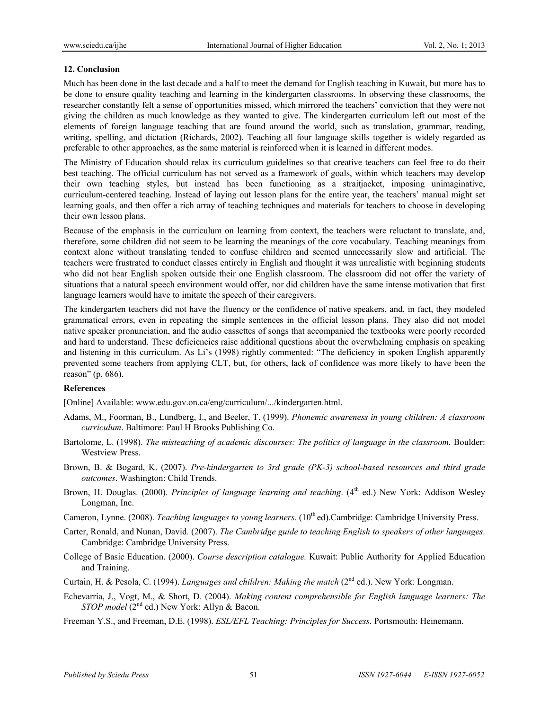#### **12. Conclusion**

Much has been done in the last decade and a half to meet the demand for English teaching in Kuwait, but more has to be done to ensure quality teaching and learning in the kindergarten classrooms. In observing these classrooms, the researcher constantly felt a sense of opportunities missed, which mirrored the teachers' conviction that they were not giving the children as much knowledge as they wanted to give. The kindergarten curriculum left out most of the elements of foreign language teaching that are found around the world, such as translation, grammar, reading, writing, spelling, and dictation (Richards, 2002). Teaching all four language skills together is widely regarded as preferable to other approaches, as the same material is reinforced when it is learned in different modes.

The Ministry of Education should relax its curriculum guidelines so that creative teachers can feel free to do their best teaching. The official curriculum has not served as a framework of goals, within which teachers may develop their own teaching styles, but instead has been functioning as a straitjacket, imposing unimaginative, curriculum-centered teaching. Instead of laying out lesson plans for the entire year, the teachers' manual might set learning goals, and then offer a rich array of teaching techniques and materials for teachers to choose in developing their own lesson plans.

Because of the emphasis in the curriculum on learning from context, the teachers were reluctant to translate, and, therefore, some children did not seem to be learning the meanings of the core vocabulary. Teaching meanings from context alone without translating tended to confuse children and seemed unnecessarily slow and artificial. The teachers were frustrated to conduct classes entirely in English and thought it was unrealistic with beginning students who did not hear English spoken outside their one English classroom. The classroom did not offer the variety of situations that a natural speech environment would offer, nor did children have the same intense motivation that first language learners would have to imitate the speech of their caregivers.

The kindergarten teachers did not have the fluency or the confidence of native speakers, and, in fact, they modeled grammatical errors, even in repeating the simple sentences in the official lesson plans. They also did not model native speaker pronunciation, and the audio cassettes of songs that accompanied the textbooks were poorly recorded and hard to understand. These deficiencies raise additional questions about the overwhelming emphasis on speaking and listening in this curriculum. As Li's (1998) rightly commented: "The deficiency in spoken English apparently prevented some teachers from applying CLT, but, for others, lack of confidence was more likely to have been the reason" (p. 686).

#### **References**

[Online] Available: www.edu.gov.on.ca/eng/curriculum/.../kindergarten.html.

- Adams, M., Foorman, B., Lundberg, I., and Beeler, T. (1999). *Phonemic awareness in young children: A classroom curriculum*. Baltimore: Paul H Brooks Publishing Co.
- Bartolome, L. (1998). *The misteaching of academic discourses: The politics of language in the classroom.* Boulder: Westview Press.
- Brown, B. & Bogard, K. (2007). *Pre-kindergarten to 3rd grade (PK-3) school-based resources and third grade outcomes*. Washington: Child Trends.
- Brown, H. Douglas. (2000). *Principles of language learning and teaching*. (4<sup>th</sup> ed.) New York: Addison Wesley Longman, Inc.
- Cameron, Lynne. (2008). *Teaching languages to young learners*. (10<sup>th</sup> ed). Cambridge: Cambridge University Press.
- Carter, Ronald, and Nunan, David. (2007). *The Cambridge guide to teaching English to speakers of other languages*. Cambridge: Cambridge University Press.
- College of Basic Education. (2000). *Course description catalogue.* Kuwait: Public Authority for Applied Education and Training.
- Curtain, H. & Pesola, C. (1994). *Languages and children: Making the match* (2<sup>nd</sup> ed.). New York: Longman.
- Echevarria, J., Vogt, M., & Short, D. (2004). *Making content comprehensible for English language learners: The STOP model* (2<sup>nd</sup> ed.) New York: Allyn & Bacon.
- Freeman Y.S., and Freeman, D.E. (1998). *ESL/EFL Teaching: Principles for Success*. Portsmouth: Heinemann.